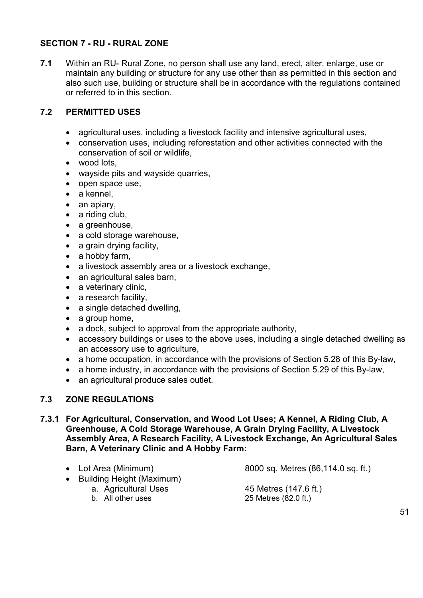### **SECTION 7 - RU - RURAL ZONE**

**7.1** Within an RU- Rural Zone, no person shall use any land, erect, alter, enlarge, use or maintain any building or structure for any use other than as permitted in this section and also such use, building or structure shall be in accordance with the regulations contained or referred to in this section.

## **7.2 PERMITTED USES**

- agricultural uses, including a livestock facility and intensive agricultural uses,
- conservation uses, including reforestation and other activities connected with the conservation of soil or wildlife,
- $\bullet$  wood lots.
- wayside pits and wayside quarries,
- open space use.
- $\bullet$  a kennel.
- $\bullet$  an apiary,
- a riding club.
- a greenhouse,
- a cold storage warehouse,
- a grain drying facility,
- $\bullet$  a hobby farm,
- a livestock assembly area or a livestock exchange,
- an agricultural sales barn,
- $\bullet$  a veterinary clinic,
- $\bullet$  a research facility,
- a single detached dwelling,
- $\bullet$  a group home.
- $\bullet$  a dock, subject to approval from the appropriate authority,
- accessory buildings or uses to the above uses, including a single detached dwelling as an accessory use to agriculture,
- $\bullet$  a home occupation, in accordance with the provisions of Section 5.28 of this By-law,
- $\bullet$  a home industry, in accordance with the provisions of Section 5.29 of this By-law,
- an agricultural produce sales outlet.

# **7.3 ZONE REGULATIONS**

**7.3.1 For Agricultural, Conservation, and Wood Lot Uses; A Kennel, A Riding Club, A Greenhouse, A Cold Storage Warehouse, A Grain Drying Facility, A Livestock Assembly Area, A Research Facility, A Livestock Exchange, An Agricultural Sales Barn, A Veterinary Clinic and A Hobby Farm:** 

- 
- Lot Area (Minimum) 8000 sq. Metres (86,114.0 sq. ft.)
- Building Height (Maximum)
	-
	-

a. Agricultural Uses 45 Metres (147.6 ft.)<br>b. All other uses 25 Metres (82.0 ft.) 25 Metres  $(82.0 \text{ ft.})$